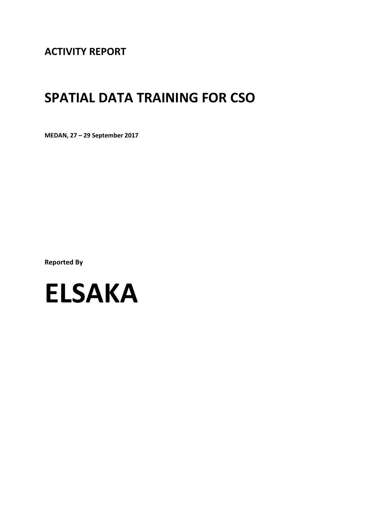**ACTIVITY REPORT**

# **SPATIAL DATA TRAINING FOR CSO**

**MEDAN, 27 – 29 September 2017**

**Reported By**

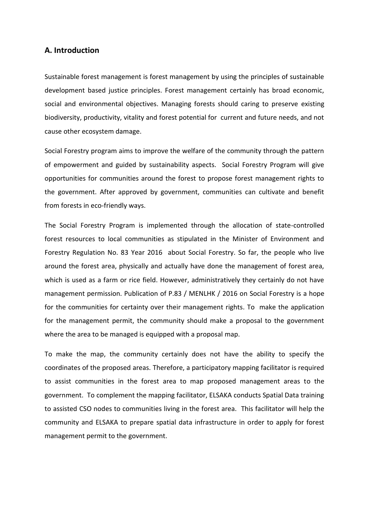### **A. Introduction**

Sustainable forest management is forest management by using the principles of sustainable development based justice principles. Forest management certainly has broad economic, social and environmental objectives. Managing forests should caring to preserve existing biodiversity, productivity, vitality and forest potential for current and future needs, and not cause other ecosystem damage.

Social Forestry program aims to improve the welfare of the community through the pattern of empowerment and guided by sustainability aspects. Social Forestry Program will give opportunities for communities around the forest to propose forest management rights to the government. After approved by government, communities can cultivate and benefit from forests in eco-friendly ways.

The Social Forestry Program is implemented through the allocation of state-controlled forest resources to local communities as stipulated in the Minister of Environment and Forestry Regulation No. 83 Year 2016 about Social Forestry. So far, the people who live around the forest area, physically and actually have done the management of forest area, which is used as a farm or rice field. However, administratively they certainly do not have management permission. Publication of P.83 / MENLHK / 2016 on Social Forestry is a hope for the communities for certainty over their management rights. To make the application for the management permit, the community should make a proposal to the government where the area to be managed is equipped with a proposal map.

To make the map, the community certainly does not have the ability to specify the coordinates of the proposed areas. Therefore, a participatory mapping facilitator is required to assist communities in the forest area to map proposed management areas to the government. To complement the mapping facilitator, ELSAKA conducts Spatial Data training to assisted CSO nodes to communities living in the forest area. This facilitator will help the community and ELSAKA to prepare spatial data infrastructure in order to apply for forest management permit to the government.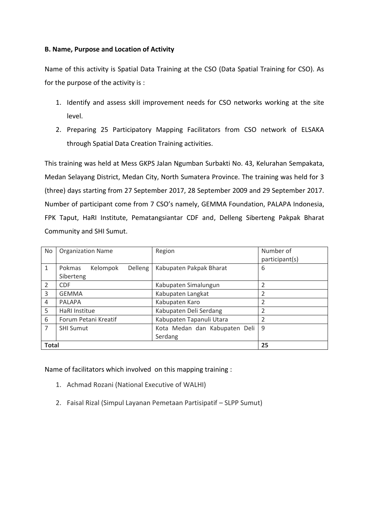### **B. Name, Purpose and Location of Activity**

Name of this activity is Spatial Data Training at the CSO (Data Spatial Training for CSO). As for the purpose of the activity is :

- 1. Identify and assess skill improvement needs for CSO networks working at the site level.
- 2. Preparing 25 Participatory Mapping Facilitators from CSO network of ELSAKA through Spatial Data Creation Training activities.

This training was held at Mess GKPS Jalan Ngumban Surbakti No. 43, Kelurahan Sempakata, Medan Selayang District, Medan City, North Sumatera Province. The training was held for 3 (three) days starting from 27 September 2017, 28 September 2009 and 29 September 2017. Number of participant come from 7 CSO's namely, GEMMA Foundation, PALAPA Indonesia, FPK Taput, HaRI Institute, Pematangsiantar CDF and, Delleng Siberteng Pakpak Bharat Community and SHI Sumut.

| No.            | <b>Organization Name</b>      | Region                        | Number of      |  |
|----------------|-------------------------------|-------------------------------|----------------|--|
|                |                               |                               | participant(s) |  |
| 1              | Kelompok<br>Delleng<br>Pokmas | Kabupaten Pakpak Bharat       | 6              |  |
|                | Siberteng                     |                               |                |  |
| $\overline{2}$ | <b>CDF</b>                    | Kabupaten Simalungun          |                |  |
| 3              | <b>GEMMA</b>                  | Kabupaten Langkat             | 2              |  |
| 4              | <b>PALAPA</b>                 | Kabupaten Karo                | $\overline{2}$ |  |
| 5              | HaRI Institue                 | Kabupaten Deli Serdang        | 2              |  |
| 6              | Forum Petani Kreatif          | Kabupaten Tapanuli Utara      | 2              |  |
| 7              | <b>SHI Sumut</b>              | Kota Medan dan Kabupaten Deli | 9              |  |
|                |                               | Serdang                       |                |  |
| <b>Total</b>   |                               |                               | 25             |  |

Name of facilitators which involved on this mapping training :

- 1. Achmad Rozani (National Executive of WALHI)
- 2. Faisal Rizal (Simpul Layanan Pemetaan Partisipatif SLPP Sumut)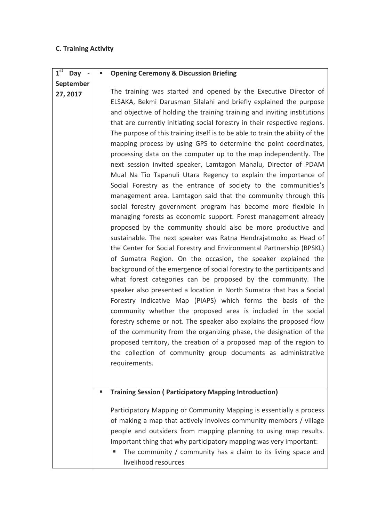## **C. Training Activity**

| 1 <sup>st</sup><br>Day - |   | <b>Opening Ceremony &amp; Discussion Briefing</b>                                                                                                                                                                                                                                                                                                                                                                                                                                                                                                                                                                                                                                                                                                                                                                                                                                                                                                                                                                                                                                                                                                                                                                                                                                                                                                                                                                                                                                                                                                                                                                                                                                                                                                                                                                                                                              |
|--------------------------|---|--------------------------------------------------------------------------------------------------------------------------------------------------------------------------------------------------------------------------------------------------------------------------------------------------------------------------------------------------------------------------------------------------------------------------------------------------------------------------------------------------------------------------------------------------------------------------------------------------------------------------------------------------------------------------------------------------------------------------------------------------------------------------------------------------------------------------------------------------------------------------------------------------------------------------------------------------------------------------------------------------------------------------------------------------------------------------------------------------------------------------------------------------------------------------------------------------------------------------------------------------------------------------------------------------------------------------------------------------------------------------------------------------------------------------------------------------------------------------------------------------------------------------------------------------------------------------------------------------------------------------------------------------------------------------------------------------------------------------------------------------------------------------------------------------------------------------------------------------------------------------------|
| September                |   |                                                                                                                                                                                                                                                                                                                                                                                                                                                                                                                                                                                                                                                                                                                                                                                                                                                                                                                                                                                                                                                                                                                                                                                                                                                                                                                                                                                                                                                                                                                                                                                                                                                                                                                                                                                                                                                                                |
| 27, 2017                 |   | The training was started and opened by the Executive Director of<br>ELSAKA, Bekmi Darusman Silalahi and briefly explained the purpose<br>and objective of holding the training training and inviting institutions<br>that are currently initiating social forestry in their respective regions.<br>The purpose of this training itself is to be able to train the ability of the<br>mapping process by using GPS to determine the point coordinates,<br>processing data on the computer up to the map independently. The<br>next session invited speaker, Lamtagon Manalu, Director of PDAM<br>Mual Na Tio Tapanuli Utara Regency to explain the importance of<br>Social Forestry as the entrance of society to the communities's<br>management area. Lamtagon said that the community through this<br>social forestry government program has become more flexible in<br>managing forests as economic support. Forest management already<br>proposed by the community should also be more productive and<br>sustainable. The next speaker was Ratna Hendrajatmoko as Head of<br>the Center for Social Forestry and Environmental Partnership (BPSKL)<br>of Sumatra Region. On the occasion, the speaker explained the<br>background of the emergence of social forestry to the participants and<br>what forest categories can be proposed by the community. The<br>speaker also presented a location in North Sumatra that has a Social<br>Forestry Indicative Map (PIAPS) which forms the basis of the<br>community whether the proposed area is included in the social<br>forestry scheme or not. The speaker also explains the proposed flow<br>of the community from the organizing phase, the designation of the<br>proposed territory, the creation of a proposed map of the region to<br>the collection of community group documents as administrative<br>requirements. |
|                          | ш | <b>Training Session ( Participatory Mapping Introduction)</b>                                                                                                                                                                                                                                                                                                                                                                                                                                                                                                                                                                                                                                                                                                                                                                                                                                                                                                                                                                                                                                                                                                                                                                                                                                                                                                                                                                                                                                                                                                                                                                                                                                                                                                                                                                                                                  |
|                          |   | Participatory Mapping or Community Mapping is essentially a process<br>of making a map that actively involves community members / village<br>people and outsiders from mapping planning to using map results.<br>Important thing that why participatory mapping was very important:<br>The community / community has a claim to its living space and<br>livelihood resources                                                                                                                                                                                                                                                                                                                                                                                                                                                                                                                                                                                                                                                                                                                                                                                                                                                                                                                                                                                                                                                                                                                                                                                                                                                                                                                                                                                                                                                                                                   |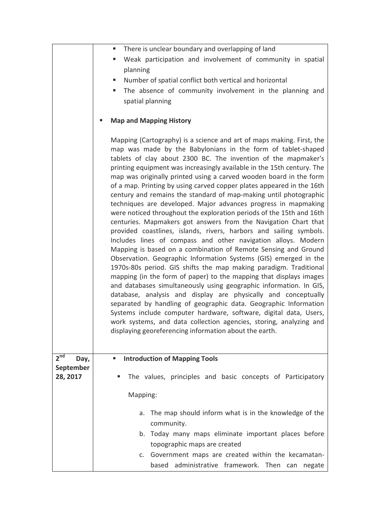|                         | There is unclear boundary and overlapping of land<br>٠                                                                                                                                                                                                                                                                                                                                                                                                                                                                                                                                                                                                                                                                                                                                                                                                                                                                                                                                                                                                                                                                                                                                                                                                                                                                                                                                                                                                                                                                                                      |  |  |  |  |  |  |  |
|-------------------------|-------------------------------------------------------------------------------------------------------------------------------------------------------------------------------------------------------------------------------------------------------------------------------------------------------------------------------------------------------------------------------------------------------------------------------------------------------------------------------------------------------------------------------------------------------------------------------------------------------------------------------------------------------------------------------------------------------------------------------------------------------------------------------------------------------------------------------------------------------------------------------------------------------------------------------------------------------------------------------------------------------------------------------------------------------------------------------------------------------------------------------------------------------------------------------------------------------------------------------------------------------------------------------------------------------------------------------------------------------------------------------------------------------------------------------------------------------------------------------------------------------------------------------------------------------------|--|--|--|--|--|--|--|
|                         | Weak participation and involvement of community in spatial                                                                                                                                                                                                                                                                                                                                                                                                                                                                                                                                                                                                                                                                                                                                                                                                                                                                                                                                                                                                                                                                                                                                                                                                                                                                                                                                                                                                                                                                                                  |  |  |  |  |  |  |  |
|                         | planning                                                                                                                                                                                                                                                                                                                                                                                                                                                                                                                                                                                                                                                                                                                                                                                                                                                                                                                                                                                                                                                                                                                                                                                                                                                                                                                                                                                                                                                                                                                                                    |  |  |  |  |  |  |  |
|                         | Number of spatial conflict both vertical and horizontal<br>Е                                                                                                                                                                                                                                                                                                                                                                                                                                                                                                                                                                                                                                                                                                                                                                                                                                                                                                                                                                                                                                                                                                                                                                                                                                                                                                                                                                                                                                                                                                |  |  |  |  |  |  |  |
|                         | The absence of community involvement in the planning and<br>ш                                                                                                                                                                                                                                                                                                                                                                                                                                                                                                                                                                                                                                                                                                                                                                                                                                                                                                                                                                                                                                                                                                                                                                                                                                                                                                                                                                                                                                                                                               |  |  |  |  |  |  |  |
|                         | spatial planning                                                                                                                                                                                                                                                                                                                                                                                                                                                                                                                                                                                                                                                                                                                                                                                                                                                                                                                                                                                                                                                                                                                                                                                                                                                                                                                                                                                                                                                                                                                                            |  |  |  |  |  |  |  |
|                         | <b>Map and Mapping History</b>                                                                                                                                                                                                                                                                                                                                                                                                                                                                                                                                                                                                                                                                                                                                                                                                                                                                                                                                                                                                                                                                                                                                                                                                                                                                                                                                                                                                                                                                                                                              |  |  |  |  |  |  |  |
|                         | Mapping (Cartography) is a science and art of maps making. First, the<br>map was made by the Babylonians in the form of tablet-shaped<br>tablets of clay about 2300 BC. The invention of the mapmaker's<br>printing equipment was increasingly available in the 15th century. The<br>map was originally printed using a carved wooden board in the form<br>of a map. Printing by using carved copper plates appeared in the 16th<br>century and remains the standard of map-making until photographic<br>techniques are developed. Major advances progress in mapmaking<br>were noticed throughout the exploration periods of the 15th and 16th<br>centuries. Mapmakers got answers from the Navigation Chart that<br>provided coastlines, islands, rivers, harbors and sailing symbols.<br>Includes lines of compass and other navigation alloys. Modern<br>Mapping is based on a combination of Remote Sensing and Ground<br>Observation. Geographic Information Systems (GIS) emerged in the<br>1970s-80s period. GIS shifts the map making paradigm. Traditional<br>mapping (in the form of paper) to the mapping that displays images<br>and databases simultaneously using geographic information. In GIS,<br>database, analysis and display are physically and conceptually<br>separated by handling of geographic data. Geographic Information<br>Systems include computer hardware, software, digital data, Users,<br>work systems, and data collection agencies, storing, analyzing and<br>displaying georeferencing information about the earth. |  |  |  |  |  |  |  |
| 2 <sup>nd</sup><br>Day, | <b>Introduction of Mapping Tools</b><br>п                                                                                                                                                                                                                                                                                                                                                                                                                                                                                                                                                                                                                                                                                                                                                                                                                                                                                                                                                                                                                                                                                                                                                                                                                                                                                                                                                                                                                                                                                                                   |  |  |  |  |  |  |  |
| September               |                                                                                                                                                                                                                                                                                                                                                                                                                                                                                                                                                                                                                                                                                                                                                                                                                                                                                                                                                                                                                                                                                                                                                                                                                                                                                                                                                                                                                                                                                                                                                             |  |  |  |  |  |  |  |
| 28, 2017                | The values, principles and basic concepts of Participatory                                                                                                                                                                                                                                                                                                                                                                                                                                                                                                                                                                                                                                                                                                                                                                                                                                                                                                                                                                                                                                                                                                                                                                                                                                                                                                                                                                                                                                                                                                  |  |  |  |  |  |  |  |
|                         | Mapping:                                                                                                                                                                                                                                                                                                                                                                                                                                                                                                                                                                                                                                                                                                                                                                                                                                                                                                                                                                                                                                                                                                                                                                                                                                                                                                                                                                                                                                                                                                                                                    |  |  |  |  |  |  |  |
|                         |                                                                                                                                                                                                                                                                                                                                                                                                                                                                                                                                                                                                                                                                                                                                                                                                                                                                                                                                                                                                                                                                                                                                                                                                                                                                                                                                                                                                                                                                                                                                                             |  |  |  |  |  |  |  |
|                         | The map should inform what is in the knowledge of the<br>a.                                                                                                                                                                                                                                                                                                                                                                                                                                                                                                                                                                                                                                                                                                                                                                                                                                                                                                                                                                                                                                                                                                                                                                                                                                                                                                                                                                                                                                                                                                 |  |  |  |  |  |  |  |
|                         | community.                                                                                                                                                                                                                                                                                                                                                                                                                                                                                                                                                                                                                                                                                                                                                                                                                                                                                                                                                                                                                                                                                                                                                                                                                                                                                                                                                                                                                                                                                                                                                  |  |  |  |  |  |  |  |
|                         | b. Today many maps eliminate important places before                                                                                                                                                                                                                                                                                                                                                                                                                                                                                                                                                                                                                                                                                                                                                                                                                                                                                                                                                                                                                                                                                                                                                                                                                                                                                                                                                                                                                                                                                                        |  |  |  |  |  |  |  |
|                         | topographic maps are created                                                                                                                                                                                                                                                                                                                                                                                                                                                                                                                                                                                                                                                                                                                                                                                                                                                                                                                                                                                                                                                                                                                                                                                                                                                                                                                                                                                                                                                                                                                                |  |  |  |  |  |  |  |
|                         | c. Government maps are created within the kecamatan-                                                                                                                                                                                                                                                                                                                                                                                                                                                                                                                                                                                                                                                                                                                                                                                                                                                                                                                                                                                                                                                                                                                                                                                                                                                                                                                                                                                                                                                                                                        |  |  |  |  |  |  |  |
|                         | based administrative framework. Then can negate                                                                                                                                                                                                                                                                                                                                                                                                                                                                                                                                                                                                                                                                                                                                                                                                                                                                                                                                                                                                                                                                                                                                                                                                                                                                                                                                                                                                                                                                                                             |  |  |  |  |  |  |  |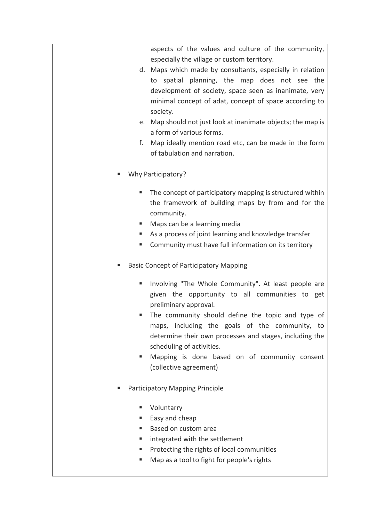|    | aspects of the values and culture of the community,          |
|----|--------------------------------------------------------------|
|    | especially the village or custom territory.                  |
|    | d. Maps which made by consultants, especially in relation    |
|    | to spatial planning, the map does not see the                |
|    | development of society, space seen as inanimate, very        |
|    | minimal concept of adat, concept of space according to       |
|    | society.                                                     |
|    | e. Map should not just look at inanimate objects; the map is |
|    | a form of various forms.                                     |
| f. | Map ideally mention road etc, can be made in the form        |
|    | of tabulation and narration.                                 |
|    |                                                              |
|    | Why Participatory?                                           |
|    | The concept of participatory mapping is structured within    |
|    | the framework of building maps by from and for the           |
|    | community.                                                   |
|    | Maps can be a learning media                                 |
| ш  | As a process of joint learning and knowledge transfer        |
|    | Community must have full information on its territory        |
|    |                                                              |
|    | <b>Basic Concept of Participatory Mapping</b>                |
| ш  | Involving "The Whole Community". At least people are         |
|    | given the opportunity to all communities to get              |
|    | preliminary approval.                                        |
|    | The community should define the topic and type of            |
|    | maps, including the goals of the community, to               |
|    | determine their own processes and stages, including the      |
|    | scheduling of activities.                                    |
| ш  | Mapping is done based on of community consent                |
|    | (collective agreement)                                       |
|    |                                                              |
|    | Participatory Mapping Principle                              |
|    |                                                              |
|    | Voluntarry                                                   |
|    | Easy and cheap                                               |
|    | Based on custom area                                         |
| ш  | integrated with the settlement                               |
|    | Protecting the rights of local communities                   |
|    | Map as a tool to fight for people's rights                   |
|    |                                                              |
|    |                                                              |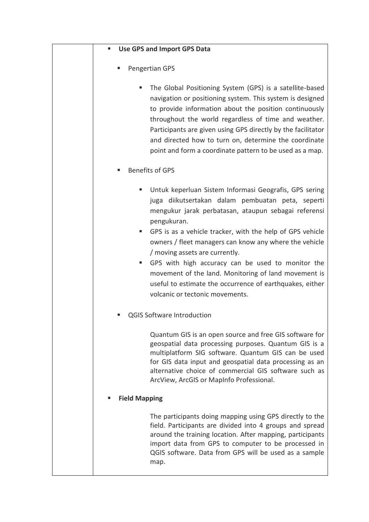| <b>Use GPS and Import GPS Data</b><br>٠                                                                                                                                                                                                                                                                                                                                                                                      |
|------------------------------------------------------------------------------------------------------------------------------------------------------------------------------------------------------------------------------------------------------------------------------------------------------------------------------------------------------------------------------------------------------------------------------|
| Pengertian GPS                                                                                                                                                                                                                                                                                                                                                                                                               |
| The Global Positioning System (GPS) is a satellite-based<br>navigation or positioning system. This system is designed<br>to provide information about the position continuously<br>throughout the world regardless of time and weather.<br>Participants are given using GPS directly by the facilitator<br>and directed how to turn on, determine the coordinate<br>point and form a coordinate pattern to be used as a map. |
| <b>Benefits of GPS</b>                                                                                                                                                                                                                                                                                                                                                                                                       |
| Untuk keperluan Sistem Informasi Geografis, GPS sering<br>juga diikutsertakan dalam pembuatan peta, seperti<br>mengukur jarak perbatasan, ataupun sebagai referensi<br>pengukuran.<br>GPS is as a vehicle tracker, with the help of GPS vehicle<br>ш<br>owners / fleet managers can know any where the vehicle<br>/ moving assets are currently.                                                                             |
| GPS with high accuracy can be used to monitor the<br>ш<br>movement of the land. Monitoring of land movement is<br>useful to estimate the occurrence of earthquakes, either<br>volcanic or tectonic movements.                                                                                                                                                                                                                |
| <b>QGIS Software Introduction</b>                                                                                                                                                                                                                                                                                                                                                                                            |
| Quantum GIS is an open source and free GIS software for<br>geospatial data processing purposes. Quantum GIS is a<br>multiplatform SIG software. Quantum GIS can be used<br>for GIS data input and geospatial data processing as an<br>alternative choice of commercial GIS software such as<br>ArcView, ArcGIS or MapInfo Professional.                                                                                      |
| <b>Field Mapping</b>                                                                                                                                                                                                                                                                                                                                                                                                         |
| The participants doing mapping using GPS directly to the<br>field. Participants are divided into 4 groups and spread<br>around the training location. After mapping, participants<br>import data from GPS to computer to be processed in<br>QGIS software. Data from GPS will be used as a sample<br>map.                                                                                                                    |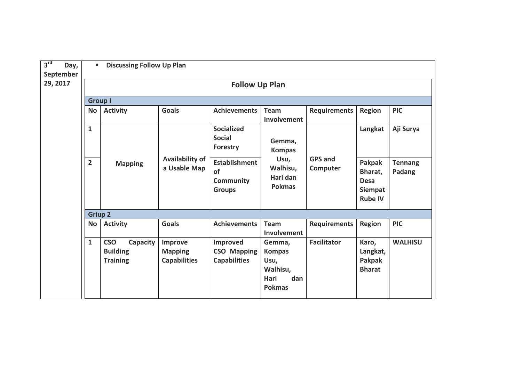| 3 <sup>rd</sup><br>Day,<br>September | ٠                              | <b>Discussing Follow Up Plan</b>                             |                                                  |                                                                 |                                                                             |                            |                                                                      |                          |  |  |
|--------------------------------------|--------------------------------|--------------------------------------------------------------|--------------------------------------------------|-----------------------------------------------------------------|-----------------------------------------------------------------------------|----------------------------|----------------------------------------------------------------------|--------------------------|--|--|
| 29, 2017                             | <b>Follow Up Plan</b>          |                                                              |                                                  |                                                                 |                                                                             |                            |                                                                      |                          |  |  |
|                                      | <b>Group I</b>                 |                                                              |                                                  |                                                                 |                                                                             |                            |                                                                      |                          |  |  |
|                                      | <b>No</b>                      | <b>Activity</b>                                              | <b>Goals</b>                                     | <b>Achievements</b>                                             | Team<br>Involvement                                                         | <b>Requirements</b>        | <b>Region</b>                                                        | <b>PIC</b>               |  |  |
|                                      | $\mathbf{1}$<br>$\overline{2}$ | <b>Availability of</b><br><b>Mapping</b><br>a Usable Map     | <b>Socialized</b><br><b>Social</b><br>Forestry   | Gemma,<br><b>Kompas</b>                                         |                                                                             | Langkat                    | Aji Surya                                                            |                          |  |  |
|                                      |                                |                                                              |                                                  | <b>Establishment</b><br>of<br><b>Community</b><br><b>Groups</b> | Usu,<br>Walhisu,<br>Hari dan<br><b>Pokmas</b>                               | <b>GPS and</b><br>Computer | Pakpak<br>Bharat,<br><b>Desa</b><br><b>Siempat</b><br><b>Rube IV</b> | <b>Tennang</b><br>Padang |  |  |
|                                      | <b>Griup 2</b>                 |                                                              |                                                  |                                                                 |                                                                             |                            |                                                                      |                          |  |  |
|                                      | <b>No</b>                      | <b>Activity</b>                                              | <b>Goals</b>                                     | <b>Achievements</b>                                             | <b>Team</b><br>Involvement                                                  | <b>Requirements</b>        | <b>Region</b>                                                        | <b>PIC</b>               |  |  |
|                                      | $\mathbf{1}$                   | <b>CSO</b><br>Capacity<br><b>Building</b><br><b>Training</b> | Improve<br><b>Mapping</b><br><b>Capabilities</b> | <b>Improved</b><br><b>CSO Mapping</b><br><b>Capabilities</b>    | Gemma,<br><b>Kompas</b><br>Usu,<br>Walhisu,<br>dan<br>Hari<br><b>Pokmas</b> | <b>Facilitator</b>         | Karo,<br>Langkat,<br><b>Pakpak</b><br><b>Bharat</b>                  | <b>WALHISU</b>           |  |  |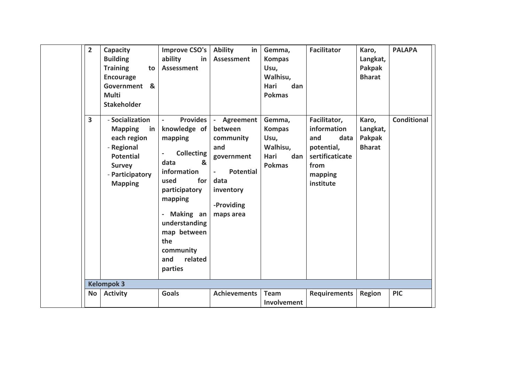| $\overline{2}$ | Capacity<br><b>Building</b><br><b>Training</b><br>to<br><b>Encourage</b><br>Government &<br><b>Multi</b><br><b>Stakeholder</b>                 | <b>Improve CSO's</b><br>ability<br>in<br><b>Assessment</b>                                                                                                                                                                    | <b>Ability</b><br>in<br><b>Assessment</b>                                                                                                      | Gemma,<br><b>Kompas</b><br>Usu,<br>Walhisu,<br>Hari<br>dan<br><b>Pokmas</b> | <b>Facilitator</b>                                                                                          | Karo,<br>Langkat,<br><b>Pakpak</b><br><b>Bharat</b> | <b>PALAPA</b>      |
|----------------|------------------------------------------------------------------------------------------------------------------------------------------------|-------------------------------------------------------------------------------------------------------------------------------------------------------------------------------------------------------------------------------|------------------------------------------------------------------------------------------------------------------------------------------------|-----------------------------------------------------------------------------|-------------------------------------------------------------------------------------------------------------|-----------------------------------------------------|--------------------|
| 3              | - Socialization<br><b>Mapping</b><br>in<br>each region<br>- Regional<br><b>Potential</b><br><b>Survey</b><br>- Participatory<br><b>Mapping</b> | Provides<br>knowledge of<br>mapping<br><b>Collecting</b><br>data<br>&<br>information<br>used<br>for<br>participatory<br>mapping<br>Making an<br>understanding<br>map between<br>the<br>community<br>related<br>and<br>parties | - Agreement<br>between<br>community<br>and<br>government<br><b>Potential</b><br>$\blacksquare$<br>data<br>inventory<br>-Providing<br>maps area | Gemma,<br><b>Kompas</b><br>Usu,<br>Walhisu,<br>Hari<br>dan<br><b>Pokmas</b> | Facilitator,<br>information<br>and<br>data<br>potential,<br>sertificaticate<br>from<br>mapping<br>institute | Karo,<br>Langkat,<br>Pakpak<br><b>Bharat</b>        | <b>Conditional</b> |
|                | <b>Kelompok 3</b>                                                                                                                              |                                                                                                                                                                                                                               |                                                                                                                                                |                                                                             |                                                                                                             |                                                     |                    |
| <b>No</b>      | <b>Activity</b>                                                                                                                                | <b>Goals</b>                                                                                                                                                                                                                  | <b>Achievements</b>                                                                                                                            | <b>Team</b><br>Involvement                                                  | <b>Requirements</b>                                                                                         | <b>Region</b>                                       | <b>PIC</b>         |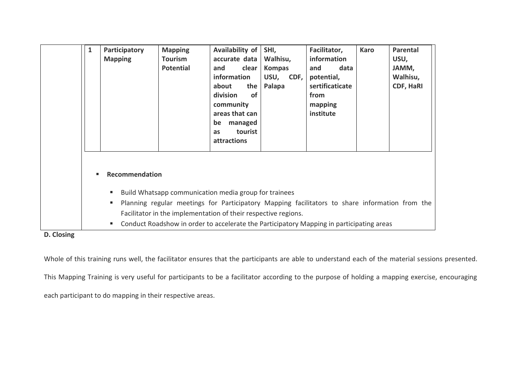| 1 | Participatory<br><b>Mapping</b> | <b>Mapping</b><br><b>Tourism</b><br><b>Potential</b>                                                                                                                                                                                                                                                                  | Availability of<br>accurate data<br>clear<br>and<br>information<br>about<br>the<br>division<br><b>of</b><br>community<br>areas that can<br>be<br>managed<br>tourist<br><b>as</b><br>attractions | SHI,<br>Walhisu,<br><b>Kompas</b><br>USU,<br>CDF,<br>Palapa | Facilitator,<br>information<br>data<br>and<br>potential,<br>sertificaticate<br>from<br>mapping<br>institute | <b>Karo</b> | Parental<br>USU,<br>JAMM,<br>Walhisu,<br>CDF, HaRI |
|---|---------------------------------|-----------------------------------------------------------------------------------------------------------------------------------------------------------------------------------------------------------------------------------------------------------------------------------------------------------------------|-------------------------------------------------------------------------------------------------------------------------------------------------------------------------------------------------|-------------------------------------------------------------|-------------------------------------------------------------------------------------------------------------|-------------|----------------------------------------------------|
|   | Recommendation<br>٠<br>п<br>ш   | Build Whatsapp communication media group for trainees<br>Planning regular meetings for Participatory Mapping facilitators to share information from the<br>Facilitator in the implementation of their respective regions.<br>Conduct Roadshow in order to accelerate the Participatory Mapping in participating areas |                                                                                                                                                                                                 |                                                             |                                                                                                             |             |                                                    |

## **D. Closing**

Whole of this training runs well, the facilitator ensures that the participants are able to understand each of the material sessions presented.

This Mapping Training is very useful for participants to be a facilitator according to the purpose of holding a mapping exercise, encouraging

each participant to do mapping in their respective areas.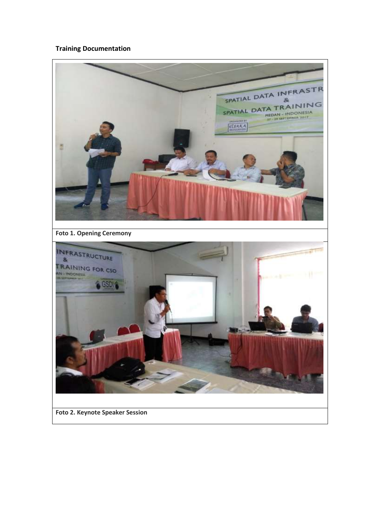## **Training Documentation**



**Foto 2. Keynote Speaker Session**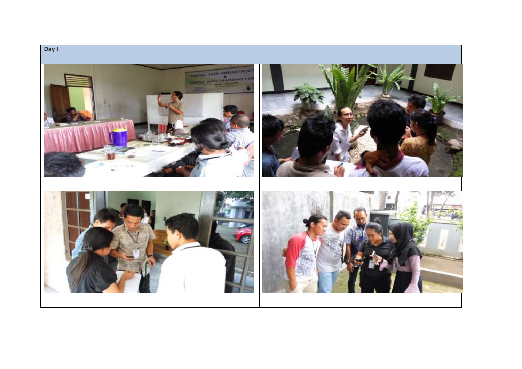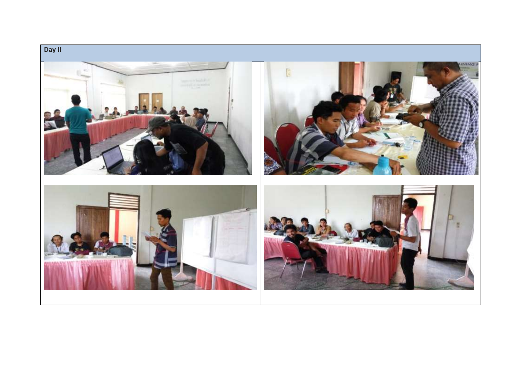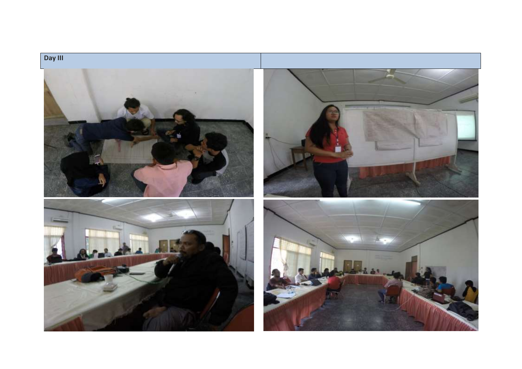